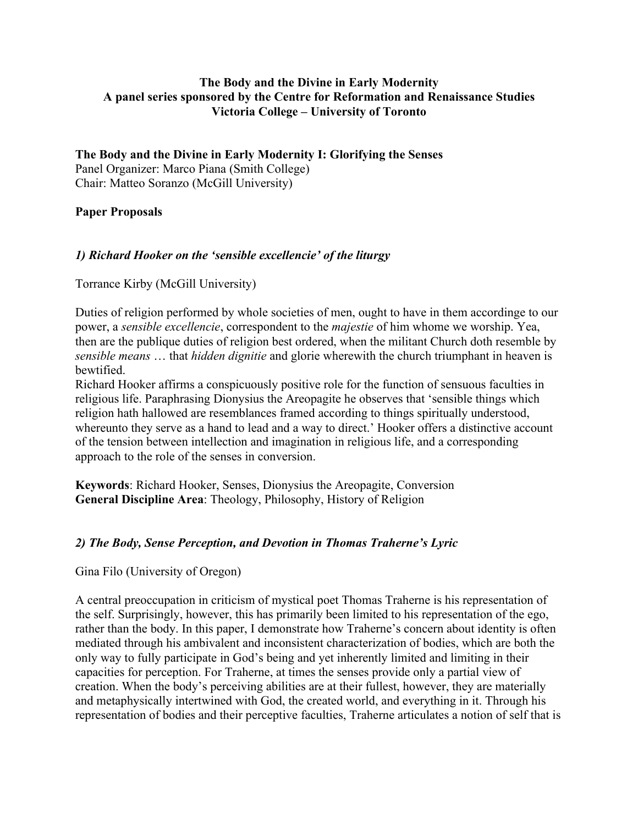# **The Body and the Divine in Early Modernity A panel series sponsored by the Centre for Reformation and Renaissance Studies Victoria College – University of Toronto**

**The Body and the Divine in Early Modernity I: Glorifying the Senses** Panel Organizer: Marco Piana (Smith College) Chair: Matteo Soranzo (McGill University)

#### **Paper Proposals**

# *1) Richard Hooker on the 'sensible excellencie' of the liturgy*

Torrance Kirby (McGill University)

Duties of religion performed by whole societies of men, ought to have in them accordinge to our power, a *sensible excellencie*, correspondent to the *majestie* of him whome we worship. Yea, then are the publique duties of religion best ordered, when the militant Church doth resemble by *sensible means* … that *hidden dignitie* and glorie wherewith the church triumphant in heaven is bewtified.

Richard Hooker affirms a conspicuously positive role for the function of sensuous faculties in religious life. Paraphrasing Dionysius the Areopagite he observes that 'sensible things which religion hath hallowed are resemblances framed according to things spiritually understood, whereunto they serve as a hand to lead and a way to direct.' Hooker offers a distinctive account of the tension between intellection and imagination in religious life, and a corresponding approach to the role of the senses in conversion.

**Keywords**: Richard Hooker, Senses, Dionysius the Areopagite, Conversion **General Discipline Area**: Theology, Philosophy, History of Religion

# *2) The Body, Sense Perception, and Devotion in Thomas Traherne's Lyric*

#### Gina Filo (University of Oregon)

A central preoccupation in criticism of mystical poet Thomas Traherne is his representation of the self. Surprisingly, however, this has primarily been limited to his representation of the ego, rather than the body. In this paper, I demonstrate how Traherne's concern about identity is often mediated through his ambivalent and inconsistent characterization of bodies, which are both the only way to fully participate in God's being and yet inherently limited and limiting in their capacities for perception. For Traherne, at times the senses provide only a partial view of creation. When the body's perceiving abilities are at their fullest, however, they are materially and metaphysically intertwined with God, the created world, and everything in it. Through his representation of bodies and their perceptive faculties, Traherne articulates a notion of self that is